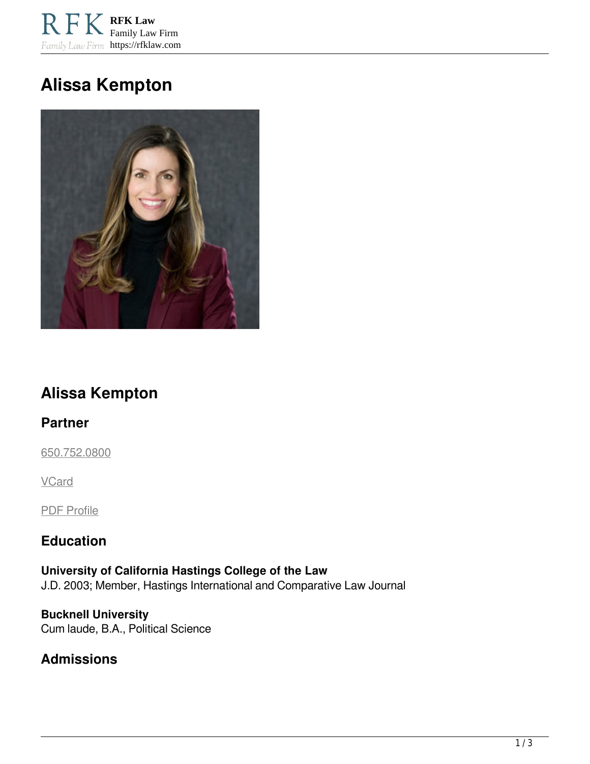**RFK Law** Family Law Firm Family Law Firm https://rfklaw.com

# **Alissa Kempton**



## **Alissa Kempton**

#### **Partner**

[650.752.0800](tel:6507520800)

**VCard** 

PDF Profile

#### **Education**

**University of California Hastings College of the Law**  J.D. 2003; Member, Hastings International and Comparative Law Journal

1 / 3

**Bucknell University**  Cum laude, B.A., Political Science

**Admissions**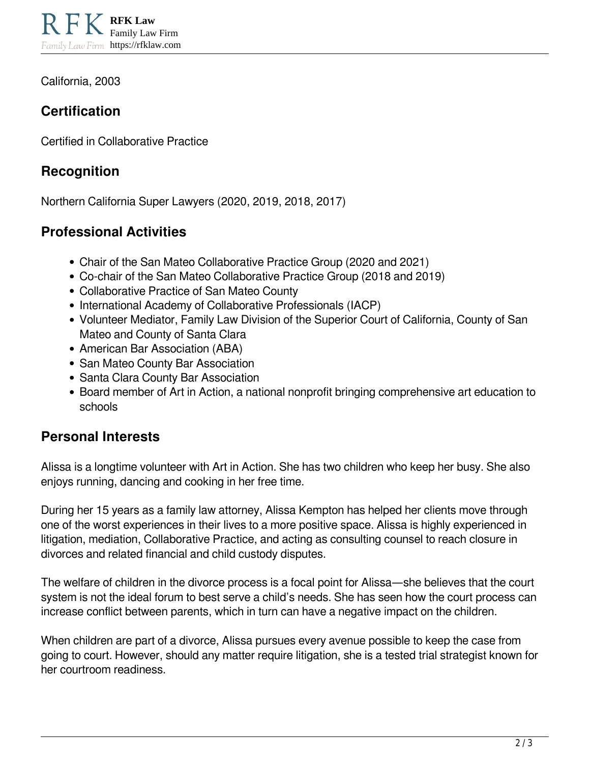California, 2003

## **Certification**

Certified in Collaborative Practice

## **Recognition**

Northern California Super Lawyers (2020, 2019, 2018, 2017)

## **Professional Activities**

- Chair of the San Mateo Collaborative Practice Group (2020 and 2021)
- Co-chair of the San Mateo Collaborative Practice Group (2018 and 2019)
- Collaborative Practice of San Mateo County
- International Academy of Collaborative Professionals (IACP)
- Volunteer Mediator, Family Law Division of the Superior Court of California, County of San Mateo and County of Santa Clara
- American Bar Association (ABA)
- San Mateo County Bar Association
- Santa Clara County Bar Association
- Board member of Art in Action, a national nonprofit bringing comprehensive art education to schools

#### **Personal Interests**

Alissa is a longtime volunteer with Art in Action. She has two children who keep her busy. She also enjoys running, dancing and cooking in her free time.

During her 15 years as a family law attorney, Alissa Kempton has helped her clients move through one of the worst experiences in their lives to a more positive space. Alissa is highly experienced in litigation, mediation, Collaborative Practice, and acting as consulting counsel to reach closure in divorces and related financial and child custody disputes.

The welfare of children in the divorce process is a focal point for Alissa—she believes that the court system is not the ideal forum to best serve a child's needs. She has seen how the court process can increase conflict between parents, which in turn can have a negative impact on the children.

When children are part of a divorce, Alissa pursues every avenue possible to keep the case from going to court. However, should any matter require litigation, she is a tested trial strategist known for her courtroom readiness.